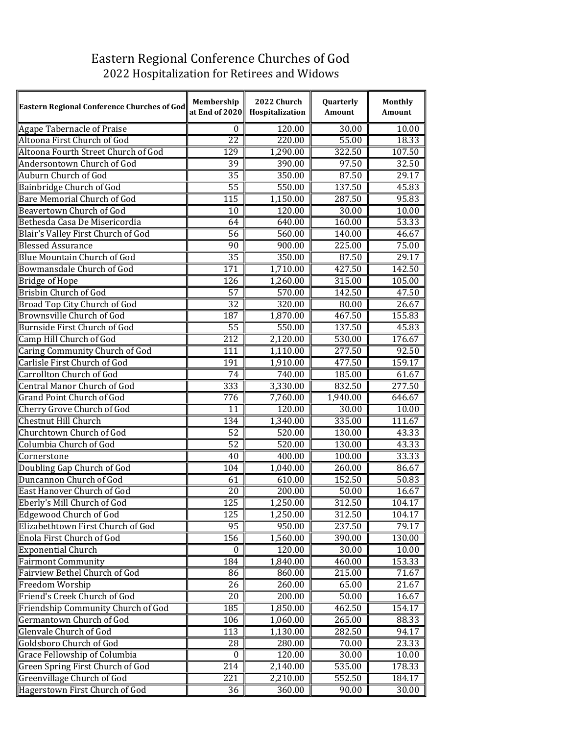## Eastern Regional Conference Churches of God 2022 Hospitalization for Retirees and Widows

| Eastern Regional Conference Churches of God | Membership<br>at End of 2020 | 2022 Church<br>Hospitalization | Quarterly<br>Amount | Monthly<br>Amount |
|---------------------------------------------|------------------------------|--------------------------------|---------------------|-------------------|
| Agape Tabernacle of Praise                  | $\mathbf{0}$                 | 120.00                         | 30.00               | 10.00             |
| Altoona First Church of God                 | $\overline{22}$              | 220.00                         | 55.00               | 18.33             |
| Altoona Fourth Street Church of God         | 129                          | 1,290.00                       | 322.50              | 107.50            |
| Andersontown Church of God                  | 39                           | 390.00                         | 97.50               | 32.50             |
| Auburn Church of God                        | $\overline{35}$              | 350.00                         | 87.50               | 29.17             |
| Bainbridge Church of God                    | $\overline{55}$              | 550.00                         | 137.50              | 45.83             |
| <b>Bare Memorial Church of God</b>          | 115                          | 1,150.00                       | 287.50              | 95.83             |
| Beavertown Church of God                    | $\overline{10}$              | 120.00                         | 30.00               | 10.00             |
| Bethesda Casa De Misericordia               | 64                           | 640.00                         | 160.00              | 53.33             |
| Blair's Valley First Church of God          | $\overline{56}$              | 560.00                         | 140.00              | 46.67             |
| <b>Blessed Assurance</b>                    | $\overline{90}$              | 900.00                         | 225.00              | 75.00             |
| <b>Blue Mountain Church of God</b>          | $\overline{35}$              | 350.00                         | 87.50               | 29.17             |
| <b>Bowmansdale Church of God</b>            | 171                          | 1,710.00                       | 427.50              | 142.50            |
| <b>Bridge of Hope</b>                       | 126                          | 1,260.00                       | 315.00              | 105.00            |
| <b>Brisbin Church of God</b>                | $\overline{57}$              | 570.00                         | 142.50              | 47.50             |
| Broad Top City Church of God                | $\overline{32}$              | 320.00                         | 80.00               | 26.67             |
| Brownsville Church of God                   | 187                          | 1,870.00                       | 467.50              | 155.83            |
| Burnside First Church of God                | $\overline{55}$              | 550.00                         | 137.50              | 45.83             |
| Camp Hill Church of God                     | 212                          | 2,120.00                       | 530.00              | 176.67            |
| Caring Community Church of God              | 111                          | 1,110.00                       | 277.50              | 92.50             |
| Carlisle First Church of God                | 191                          | 1,910.00                       | 477.50              | 159.17            |
| <b>Carrollton Church of God</b>             | 74                           | 740.00                         | 185.00              | 61.67             |
| <b>Central Manor Church of God</b>          | 333                          | 3,330.00                       | 832.50              | 277.50            |
| Grand Point Church of God                   | 776                          | 7,760.00                       | 1,940.00            | 646.67            |
| Cherry Grove Church of God                  | 11                           | 120.00                         | 30.00               | 10.00             |
| <b>Chestnut Hill Church</b>                 | 134                          | 1,340.00                       | 335.00              | 111.67            |
| Churchtown Church of God                    | $\overline{52}$              | 520.00                         | 130.00              | 43.33             |
| Columbia Church of God                      | $\overline{52}$              | 520.00                         | 130.00              | 43.33             |
| Cornerstone                                 | 40                           | 400.00                         | 100.00              | 33.33             |
| Doubling Gap Church of God                  | 104                          | 1,040.00                       | 260.00              | 86.67             |
| Duncannon Church of God                     | 61                           | 610.00                         | 152.50              | 50.83             |
| East Hanover Church of God                  | $\overline{20}$              | 200.00                         | $\frac{1}{50.00}$   | 16.67             |
| Eberly's Mill Church of God                 | 125                          | 1,250.00                       | 312.50              | 104.17            |
| <b>Edgewood Church of God</b>               | 125                          | 1,250.00                       | 312.50              | 104.17            |
| Elizabethtown First Church of God           | 95                           | 950.00                         | 237.50              | 79.17             |
| Enola First Church of God                   | 156                          | 1,560.00                       | 390.00              | 130.00            |
| <b>Exponential Church</b>                   | $\theta$                     | 120.00                         | 30.00               | 10.00             |
| <b>Fairmont Community</b>                   | 184                          | 1,840.00                       | 460.00              | 153.33            |
| Fairview Bethel Church of God               | 86                           | 860.00                         | 215.00              | 71.67             |
| Freedom Worship                             | 26                           | 260.00                         | 65.00               | 21.67             |
| Friend's Creek Church of God                | 20                           | 200.00                         | 50.00               | 16.67             |
| Friendship Community Church of God          | 185                          | 1,850.00                       | 462.50              | 154.17            |
| <b>Germantown Church of God</b>             | 106                          | 1,060.00                       | 265.00              | 88.33             |
| Glenvale Church of God                      | 113                          | 1,130.00                       | 282.50              | 94.17             |
| Goldsboro Church of God                     | 28                           | 280.00                         | 70.00               | 23.33             |
| Grace Fellowship of Columbia                | $\bf{0}$                     | 120.00                         | 30.00               | 10.00             |
| Green Spring First Church of God            | 214                          | 2,140.00                       | 535.00              | 178.33            |
| Greenvillage Church of God                  | 221                          | 2,210.00                       | 552.50              | 184.17            |
| Hagerstown First Church of God              | 36                           | 360.00                         | 90.00               | 30.00             |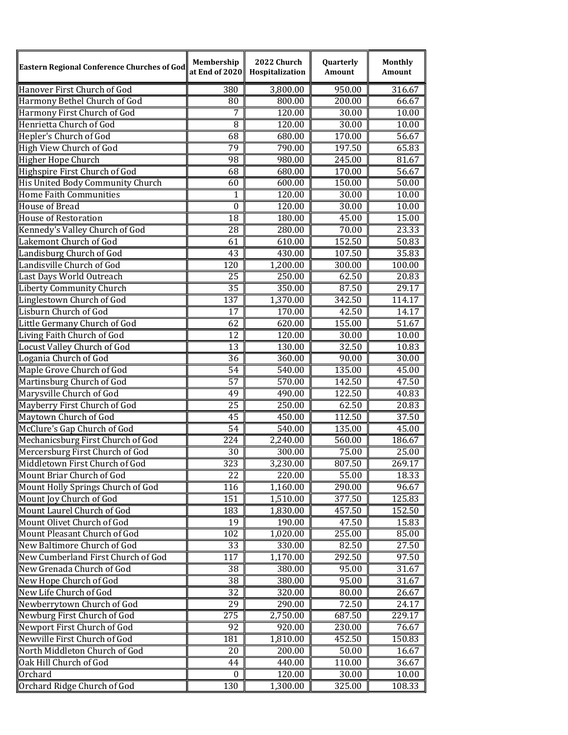| Eastern Regional Conference Churches of God | Membership       | 2022 Church<br>at End of 2020   Hospitalization | Quarterly<br>Amount | <b>Monthly</b><br>Amount |
|---------------------------------------------|------------------|-------------------------------------------------|---------------------|--------------------------|
| Hanover First Church of God                 | 380              | 3,800.00                                        | 950.00              | 316.67                   |
| Harmony Bethel Church of God                | 80               | 800.00                                          | 200.00              | 66.67                    |
| Harmony First Church of God                 | 7                | 120.00                                          | 30.00               | 10.00                    |
| Henrietta Church of God                     | $\overline{8}$   | 120.00                                          | 30.00               | 10.00                    |
| Hepler's Church of God                      | 68               | 680.00                                          | 170.00              | 56.67                    |
| High View Church of God                     | 79               | 790.00                                          | 197.50              | 65.83                    |
| Higher Hope Church                          | $\overline{98}$  | 980.00                                          | 245.00              | 81.67                    |
| Highspire First Church of God               | 68               | 680.00                                          | 170.00              | 56.67                    |
| His United Body Community Church            | 60               | 600.00                                          | 150.00              | 50.00                    |
| Home Faith Communities                      | 1                | 120.00                                          | 30.00               | 10.00                    |
| House of Bread                              | $\overline{0}$   | 120.00                                          | 30.00               | 10.00                    |
| House of Restoration                        | $\overline{18}$  | 180.00                                          | 45.00               | 15.00                    |
| Kennedy's Valley Church of God              | 28               | 280.00                                          | 70.00               | 23.33                    |
| Lakemont Church of God                      | 61               | 610.00                                          | 152.50              | 50.83                    |
| Landisburg Church of God                    | 43               | 430.00                                          | 107.50              | 35.83                    |
| Landisville Church of God                   | 120              | 1,200.00                                        | 300.00              | 100.00                   |
| Last Days World Outreach                    | $\overline{25}$  | 250.00                                          | 62.50               | $\overline{20.83}$       |
| <b>Liberty Community Church</b>             | $\overline{35}$  | 350.00                                          | 87.50               | 29.17                    |
| Linglestown Church of God                   | $\overline{137}$ | 1,370.00                                        | 342.50              | 114.17                   |
| Lisburn Church of God                       | 17               | 170.00                                          | 42.50               | 14.17                    |
| Little Germany Church of God                | 62               | 620.00                                          | 155.00              | 51.67                    |
| Living Faith Church of God                  | $\overline{12}$  | 120.00                                          | 30.00               | 10.00                    |
| Locust Valley Church of God                 | 13               | 130.00                                          | 32.50               | 10.83                    |
| Logania Church of God                       | $\overline{36}$  | 360.00                                          | 90.00               | 30.00                    |
| Maple Grove Church of God                   | 54               | 540.00                                          | 135.00              | 45.00                    |
| Martinsburg Church of God                   | $\overline{57}$  | 570.00                                          | 142.50              | 47.50                    |
| Marysville Church of God                    | $\overline{49}$  | 490.00                                          | 122.50              | 40.83                    |
| Mayberry First Church of God                | 25               | 250.00                                          | 62.50               | 20.83                    |
| Maytown Church of God                       | 45               | 450.00                                          | 112.50              | 37.50                    |
| McClure's Gap Church of God                 | 54               | 540.00                                          | 135.00              | 45.00                    |
| Mechanicsburg First Church of God           | 224              | 2,240.00                                        | 560.00              | 186.67                   |
| Mercersburg First Church of God             | $\overline{30}$  | 300.00                                          | 75.00               | 25.00                    |
| Middletown First Church of God              | $\overline{323}$ | 3,230.00                                        | 807.50              | 269.17                   |
| Mount Briar Church of God                   | $\overline{22}$  | 220.00                                          | 55.00               | 18.33                    |
| Mount Holly Springs Church of God           | 116              | 1,160.00                                        | 290.00              | 96.67                    |
| Mount Joy Church of God                     | 151              | 1,510.00                                        | 377.50              | 125.83                   |
| Mount Laurel Church of God                  | 183              | 1,830.00                                        | 457.50              | 152.50                   |
| Mount Olivet Church of God                  | 19               | 190.00                                          | 47.50               | 15.83                    |
| Mount Pleasant Church of God                | 102              | 1,020.00                                        | 255.00              | 85.00                    |
| New Baltimore Church of God                 | 33               | 330.00                                          | 82.50               | 27.50                    |
| New Cumberland First Church of God          | 117              | 1,170.00                                        | 292.50              | 97.50                    |
| New Grenada Church of God                   | $\overline{38}$  | 380.00                                          | 95.00               | 31.67                    |
| New Hope Church of God                      | 38               | 380.00                                          | 95.00               | 31.67                    |
| New Life Church of God                      | $\overline{32}$  | 320.00                                          | 80.00               | 26.67                    |
| Newberrytown Church of God                  | 29               | 290.00                                          | 72.50               | 24.17                    |
| Newburg First Church of God                 | $\overline{275}$ | 2,750.00                                        | 687.50              | 229.17                   |
| Newport First Church of God                 | 92               | 920.00                                          | 230.00              | 76.67                    |
| Newville First Church of God                | 181              | 1,810.00                                        | 452.50              | 150.83                   |
| North Middleton Church of God               | 20               | 200.00                                          | 50.00               | 16.67                    |
| Oak Hill Church of God                      | 44               | 440.00                                          | 110.00              | 36.67                    |
| ∣0rchard                                    | $\mathbf{0}$     | 120.00                                          | 30.00               | 10.00                    |
| Orchard Ridge Church of God                 | 130              | 1,300.00                                        | 325.00              | 108.33                   |